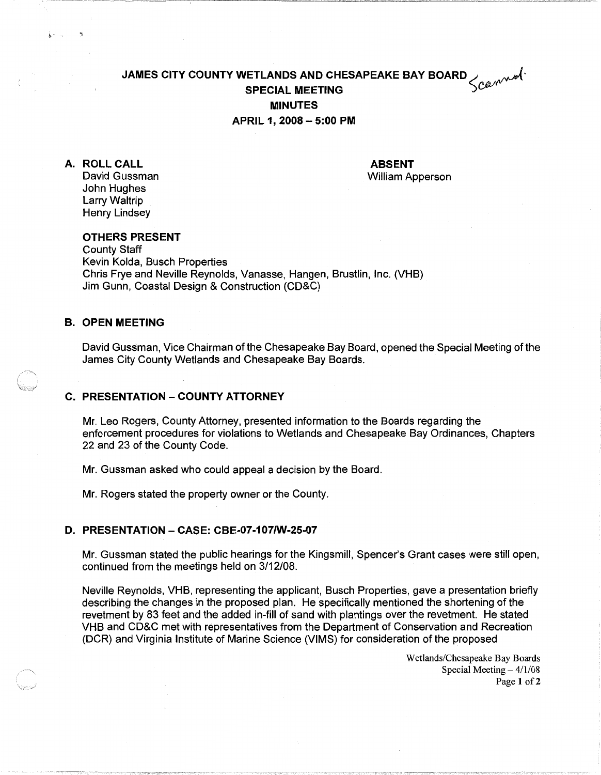# **JAMES CITY COUNTY WETLANDS AND CHESAPEAKE BAY** BOARD/~· **SPECIAL MEETING** J **MINUTES APRIL 1, 2008-5:00 PM**

**A. ROLLCALL**  David Gussman John Hughes Larry Waltrip Henry Lindsey

 $k = n$ 

**ABSENT**  William Apperson

#### **OTHERS PRESENT**

County Staff Kevin Kelda, Busch Properties Chris Frye and Neville Reynolds, Vanasse, Hangen, Brustlin, Inc. (VHB) Jim Gunn, Coastal Design & Construction (CD&C)

## **B. OPEN MEETING**

David Gussman, Vice Chairman of the Chesapeake Bay Board, opened the Special Meeting of the James City County Wetlands and Chesapeake Bay Boards.

### **C. PRESENTATION- COUNTY ATTORNEY**

Mr. Leo Rogers, County Attorney, presented information to the Boards regarding the enforcement procedures for violations to Wetlands and Chesapeake Bay Ordinances, Chapters 22 and 23 of the County Code.

Mr. Gussman asked who could appeal a decision by the Board.

Mr. Rogers stated the property owner or the County.

#### **D. PRESENTATION- CASE: CBE-07-107/W-25-07**

Mr. Gussman stated the public hearings for the Kingsmill, Spencer's Grant cases were still open, continued from the meetings held on 3/12/08.

Neville Reynolds, VHB, representing the applicant, Busch Properties, gave a presentation briefly describing the changes in the proposed plan. He specifically mentioned the shortening of the revetment by 83 feet and the added in-fill of sand with plantings over the revetment. He stated VHB and CD&C met with representatives from the Department of Conservation and Recreation (OCR) and Virginia Institute of Marine Science (VIMS) for consideration of the proposed

> Wetlands/Chesapeake Bay Boards Special Meeting  $-4/1/08$ Page 1 of 2